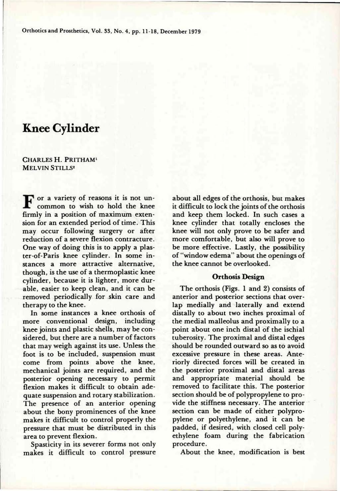Orthotics and Prosthetics, Vol. 33, No. 4, pp. 11-18, December 1979

# **Knee Cylinder**

**C**HARLES **H. P**RITHAM<sup>1</sup> **M**ELVIN **S**TILLS2

F or a variety of reasons it is not un-<br>common to wish to hold the knee common to wish to hold the knee firmly in a position of maximum extension for an extended period of time. This may occur following surgery or after reduction of a severe flexion contracture. ter-of-Paris knee cylinder. In some instances a more attractive alternative. though, is the use of a thermoplastic knee cylinder, because it is lighter, more durable, easier to keep clean, and it can be removed periodically for skin care and therapy to the knee.

In some instances a knee orthosis of more conventional design, including knee joints and plastic shells, may be considered, but there are a number of factors that may weigh against its use. Unless the foot is to be included, suspension must come from points above the knee, mechanical joints are required, and the posterior opening necessary to permit flexion makes it difficult to obtain adequate suspension and rotary stabilization. The presence of an anterior opening about the bony prominences of the knee makes it difficult to control properly the pressure that must be distributed in this area to prevent flexion.

Spasticity in its severer forms not only makes it difficult to control pressure

reduction of a severe fiexion contracture. In the conflortable, but also will prove to<br>One way of doing this is to apply a plas-<br>be more effective. Lastly, the possibility about all edges of the orthosis, but makes it difficult to lock the joints of the orthosis and keep them locked. In such cases a knee cylinder that totally encloses the knee will not only prove to be safer and more comfortable, but also will prove to of "window edema" about the openings of the knee cannot be overlooked.

### **Orthosis Design**

The orthosis (Figs. 1 and 2) consists of anterior and posterior sections that overlap medially and laterally and extend distally to about two inches proximal of the medial malleolus and proximally to a point about one inch distal of the ischial tuberosity. The proximal and distal edges should be rounded outward so as to avoid excessive pressure in these areas. Anteriorly directed forces will be created in the posterior proximal and distal areas and appropriate material should be removed to facilitate this. The posterior section should be of polypropylene to provide the stiffness necessary. The anterior section can be made of either polypropylene or polyethylene, and it can be padded, if desired, with closed cell polyethylene foam during the fabrication procedure.

About the knee, modification is best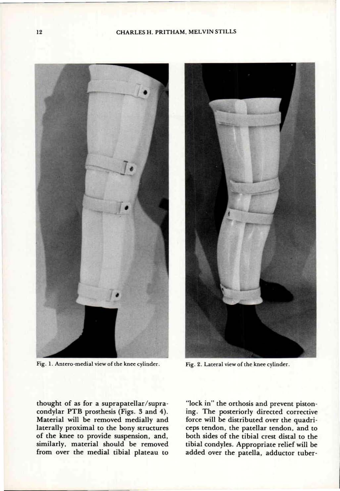#### CHARLES H. PRITHAM, MELVIN STILLS



Fig. 1. Antero-medial view of the knee cylinder. **Fig. 2. Lateral view of the knee cylinder**.



thought of as for a suprapatellar/supra-<br>condylar PTB prosthesis (Figs. 3 and 4). Ing. The posteriorly directed corrective Material will be removed medially and laterally proximal to the bony structures of the knee to provide suspension, and, of the knee to provide suspension, and, similarly, material should be removed<br>from over the medial tibial plateau to

"lock in" the orthosis and prevent pistonforce will be distributed over the quadriceps tendon, the patellar tendon, and to both sides of the tibial crest distal to the tibial condyles. Appropriate relief will be  $\frac{1}{2}$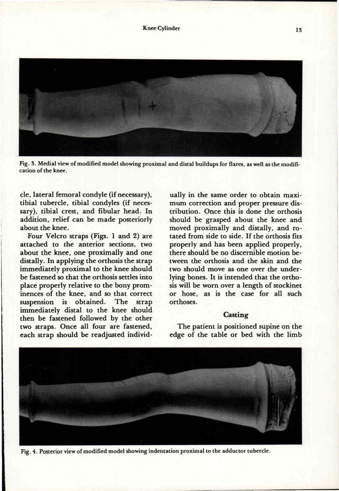



**Fig. 3. Medial view of modified model showing proximal and distal buildups for flares, as well as the modification of the knee.** 

cle, lateral femoral condyle (if necessary), tibial tubercle, tibial condyles (if necessary), tibial crest, and fibular head. In addition, relief can be made posteriorly about the knee.

Four Velcro straps (Figs. 1 and 2) are attached to the anterior sections, two about the knee, one proximally and one distally. In applying the orthosis the strap immediately proximal to the knee should be fastened so that the orthosis settles into place properly relative to the bony prominences of the knee, and so that correct suspension is obtained. The strap immediately distal to the knee should then be fastened followed by the other two straps. Once all four are fastened, each strap should be readjusted individually in the same order to obtain maximum correction and proper pressure distribution. Once this is done the orthosis should be grasped about the knee and moved proximally and distally, and rotated from side to side. If the orthosis fits properly and has been applied properly, there should be no discernible motion between the orthosis and the skin and the two should move as one over the underlying bones. It is intended that the orthosis will be worn over a length of stockinet or hose, as is the case for all such orthoses.

## **Casting**

The patient is positioned supine on the edge of the table or bed with the limb



**Fig. 4. Posterior view of modified model showing indentation proximal to the adductor tubercle.**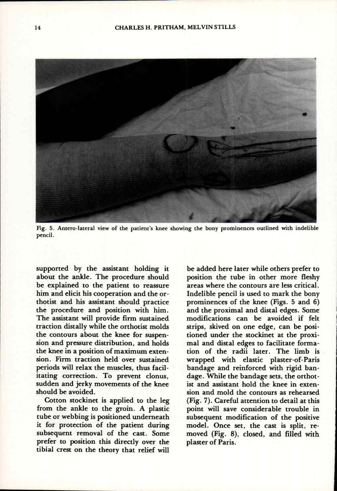

**Fig. 5. Antero-lateral view of the patient's knee showing the bony prominences outlined with indelible pencil.** 

supported by the assistant holding it about the ankle. The procedure should be explained to the patient to reassure him and elicit his cooperation and the orthotist and his assistant should practice the procedure and position with him. The assistant will provide firm sustained traction distally while the orthotist molds the contours about the knee for suspension and pressure distribution, and holds the knee in a position of maximum extension. Firm traction held over sustained periods will relax the muscles, thus facilitating correction. To prevent clonus, sudden and jerky movements of the knee should be avoided.

Cotton stockinet is applied to the leg from the ankle to the groin. A plastic tube or webbing is positioned underneath it for protection of the patient during subsequent removal of the cast. Some prefer to position this directly over the tibial crest on the theory that relief will

be added here later while others prefer to position the tube in other more fleshy areas where the contours are less critical. Indelible pencil is used to mark the bony prominences of the knee (Figs. 5 and 6) and the proximal and distal edges. Some modifications can be avoided if felt strips, skived on one edge, can be positioned under the stockinet at the proximal and distal edges to facilitate formation of the radii later. The limb is wrapped with elastic plaster-of-Paris bandage and reinforced with rigid bandage. While the bandage sets, the orthotist and assistant hold the knee in extension and mold the contours as rehearsed (Fig. 7). Careful attention to detail at this point will save considerable trouble in subsequent modification of the positive model. Once set, the cast is split, removed (Fig. 8), closed, and filled with plaster of Paris.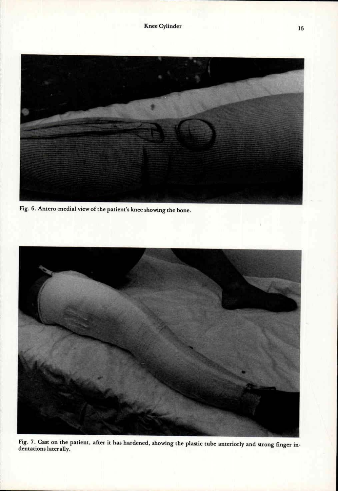

**Fig. 6. Antero-medial view of the patient's knee showing the bone.** 



**Fig. 7. Cast on the patient, after it has hardened, showing the plastic tube anteriorly and strong finger indentations laterally.**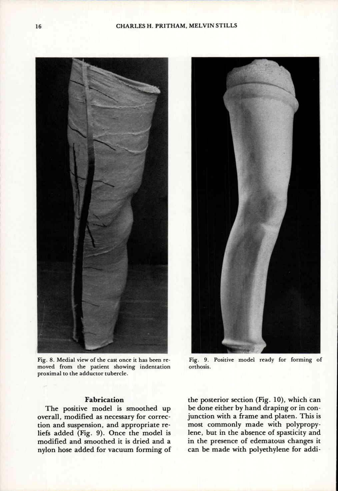

**Fig. 8. Medial view of the cast once it has been removed from the patient showing indentation proximal to the adductor tubercle.** 

### **Fabrication**

The positive model is smoothed up overall, modified as necessary for correction and suspension, and appropriate reliefs added (Fig. 9). Once the model is modified and smoothed it is dried and a nylon hose added for vacuum forming of



**Fig. 9. Positive model ready for forming of orthosis.** 

the posterior section (Fig. 10), which can be done either by hand draping or in conjunction with a frame and platen. This is most commonly made with polypropylene, but in the absence of spasticity and in the presence of edematous changes it can be made with polyethylene for addi-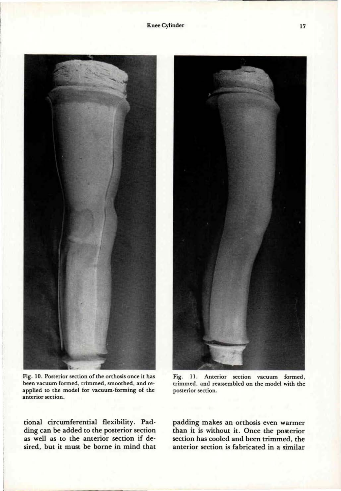

**Fig. 10. Posterior section of the orthosis once it has been vacuum formed, trimmed, smoothed, and reapplied to the model for vacuum-forming of the anterior section.** 

tional circumferential flexibility. Padding can be added to the posterior section as well as to the anterior section if desired, but it must be borne in mind that



**Fig. 11. Anterior section vacuum formed, trimmed, and reassembled on the model with the posterior section.** 

padding makes an orthosis even warmer than it is without it. Once the posterior section has cooled and been trimmed, the anterior section is fabricated in a similar